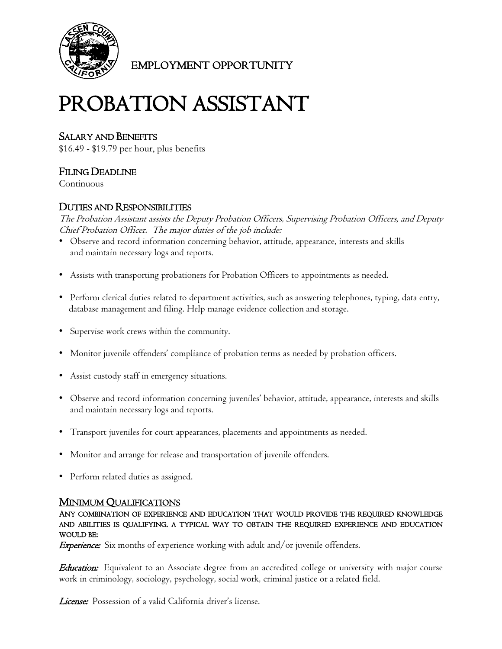

EMPLOYMENT OPPORTUNITY

# PROBATION ASSISTANT

# SALARY AND BENEFITS

\$16.49 - \$19.79 per hour, plus benefits

# FILING DEADLINE

Continuous

# DUTIES AND RESPONSIBILITIES

The Probation Assistant assists the Deputy Probation Officers, Supervising Probation Officers, and Deputy Chief Probation Officer. The major duties of the job include:

- Observe and record information concerning behavior, attitude, appearance, interests and skills and maintain necessary logs and reports.
- Assists with transporting probationers for Probation Officers to appointments as needed.
- Perform clerical duties related to department activities, such as answering telephones, typing, data entry, database management and filing. Help manage evidence collection and storage.
- Supervise work crews within the community.
- Monitor juvenile offenders' compliance of probation terms as needed by probation officers.
- Assist custody staff in emergency situations.
- Observe and record information concerning juveniles' behavior, attitude, appearance, interests and skills and maintain necessary logs and reports.
- Transport juveniles for court appearances, placements and appointments as needed.
- Monitor and arrange for release and transportation of juvenile offenders.
- Perform related duties as assigned.

<u>MINIMUM QUALIFICATIONS</u><br>Any combination of experience and education that would provide the required knowledge AND ABILITIES IS QUALIFYING. A TYPICAL WAY TO OBTAIN THE REQUIRED EXPERIENCE AND EDUCATION WOULD BE:

**Experience:** Six months of experience working with adult and/or juvenile offenders.

**Education:** Equivalent to an Associate degree from an accredited college or university with major course work in criminology, sociology, psychology, social work, criminal justice or a related field.

License: Possession of a valid California driver's license.